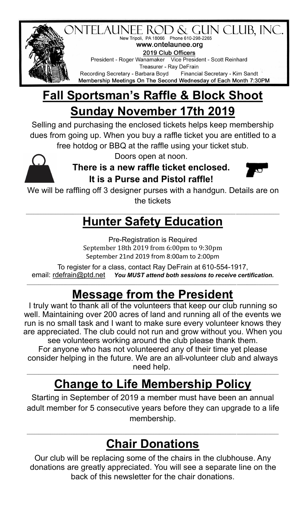

New Tripoli, PA 18066 Phone 610-298-2265 www.ontelaunee.org 2019 Club Officers President - Roger Wanamaker Vice President - Scott Reinhard Treasurer - Ray DeFrain Recording Secretary - Barbara Boyd Financial Secretary - Kim Sandt Membership Meetings On The Second Wednesday of Each Month 7:30PM

# **Fall Sportsman's Raffle & Block Shoot Sunday November 17th 2019**

Selling and purchasing the enclosed tickets helps keep membership dues from going up. When you buy a raffle ticket you are entitled to a free hotdog or BBQ at the raffle using your ticket stub.



Doors open at noon.

**There is a new raffle ticket enclosed. It is a Purse and Pistol raffle!** 



We will be raffling off 3 designer purses with a handgun. Details are on the tickets

#### **\_\_\_\_\_\_\_\_\_\_\_\_\_\_\_\_\_\_\_\_\_\_\_\_\_\_\_\_\_\_\_\_\_\_\_\_\_\_\_\_\_\_\_\_\_\_\_\_\_\_\_\_\_\_\_\_\_\_\_\_\_\_\_\_\_\_\_\_\_\_\_\_\_\_\_\_\_\_\_\_\_\_\_\_\_\_\_\_\_\_\_\_\_\_\_\_\_\_\_\_\_\_\_\_\_\_\_\_\_\_\_\_\_\_\_\_\_\_\_\_\_\_\_\_\_\_\_\_\_\_\_\_\_\_\_\_\_\_\_\_\_\_\_\_\_\_\_\_\_\_\_ Hunter Safety Education**

Pre-Registration is Required September 18th 2019 from 6:00pm to 9:30pm September 21nd 2019 from 8:00am to 2:00pm

To register for a class, contact Ray DeFrain at 610-554-1917, email: [rdefrain@ptd.net](mailto:rdefrain@ptd.net) *You MUST attend both sessions to receive certification.*

# **Message from the President**

**\_\_\_\_\_\_\_\_\_\_\_\_\_\_\_\_\_\_\_\_\_\_\_\_\_\_\_\_\_\_\_\_\_\_\_\_\_\_\_\_\_\_\_\_\_\_\_\_\_\_\_\_\_\_\_\_\_\_\_\_\_\_\_\_\_\_\_\_\_\_\_\_\_\_\_\_\_\_\_\_\_\_\_\_\_\_\_\_\_\_\_\_\_\_\_\_\_\_\_\_\_\_\_\_\_\_\_\_\_\_\_\_\_\_\_\_\_\_\_\_\_\_\_\_\_\_\_\_\_\_\_\_\_\_\_\_\_\_\_\_\_\_\_\_\_\_\_\_\_\_**

I truly want to thank all of the volunteers that keep our club running so well. Maintaining over 200 acres of land and running all of the events we run is no small task and I want to make sure every volunteer knows they are appreciated. The club could not run and grow without you. When you see volunteers working around the club please thank them. For anyone who has not volunteered any of their time yet please

consider helping in the future. We are an all-volunteer club and always need help. **\_\_\_\_\_\_\_\_\_\_\_\_\_\_\_\_\_\_\_\_\_\_\_\_\_\_\_\_\_\_\_\_\_\_\_\_\_\_\_\_\_\_\_\_\_\_\_\_\_\_\_\_\_\_\_\_\_\_\_\_\_\_\_\_\_\_\_\_\_\_\_\_\_\_\_\_\_\_\_\_\_\_\_\_\_\_\_\_\_\_\_\_\_\_\_\_\_\_\_\_\_\_\_\_\_\_\_\_\_\_\_\_\_\_\_\_\_\_\_\_\_\_\_\_\_\_\_\_\_\_\_\_\_\_\_\_\_\_\_\_\_\_\_\_\_\_\_\_\_\_**

# **Change to Life Membership Policy**

Starting in September of 2019 a member must have been an annual adult member for 5 consecutive years before they can upgrade to a life membership.

### **Chair Donations**

**\_\_\_\_\_\_\_\_\_\_\_\_\_\_\_\_\_\_\_\_\_\_\_\_\_\_\_\_\_\_\_\_\_\_\_\_\_\_\_\_\_\_\_\_\_\_\_\_\_\_\_\_\_\_\_\_\_\_\_\_\_\_\_\_\_\_\_\_\_\_\_\_\_\_\_\_\_\_\_\_\_\_\_\_\_\_\_\_\_\_\_\_\_\_\_\_\_\_\_\_\_\_\_\_\_\_\_\_\_\_\_\_\_\_\_\_\_\_\_\_\_\_\_\_\_\_\_\_\_\_\_\_\_\_\_\_\_\_\_\_\_\_\_\_\_\_\_\_\_\_**

Our club will be replacing some of the chairs in the clubhouse. Any donations are greatly appreciated. You will see a separate line on the back of this newsletter for the chair donations.